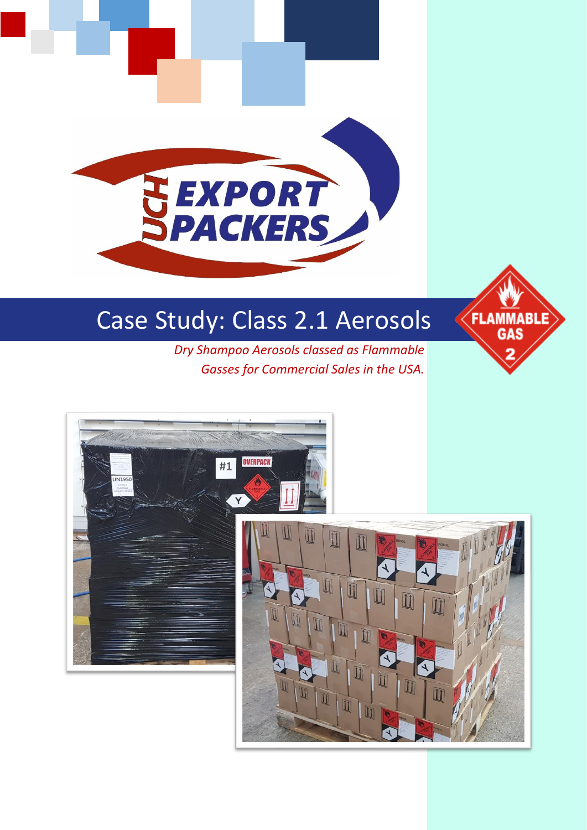# **EXPORT**<br>PACKERS

# Case Study: Class 2.1 Aerosols

*Dry Shampoo Aerosols classed as Flammable Gasses for Commercial Sales in the USA.*